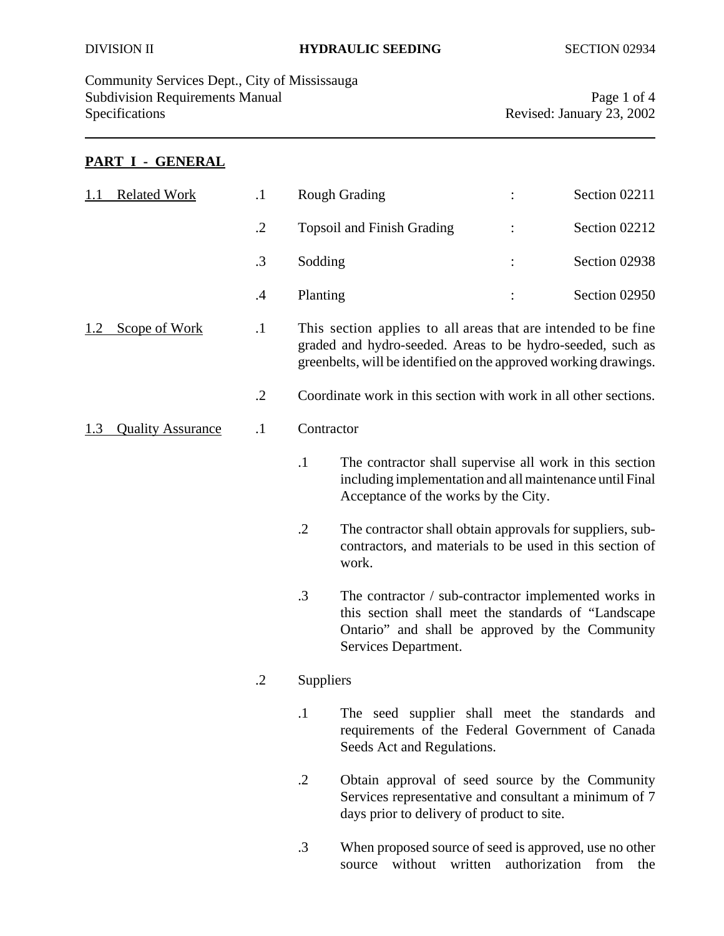Community Services Dept., City of Mississauga Subdivision Requirements Manual Page 1 of 4 Specifications Revised: January 23, 2002

## **PART I - GENERAL**

| <b>Related Work</b>             |  | $\cdot$    |                                                                                                                                                                                         | <b>Rough Grading</b>                                                                                                                                                                             | Section 02211 |
|---------------------------------|--|------------|-----------------------------------------------------------------------------------------------------------------------------------------------------------------------------------------|--------------------------------------------------------------------------------------------------------------------------------------------------------------------------------------------------|---------------|
|                                 |  | $\cdot$    |                                                                                                                                                                                         | <b>Topsoil and Finish Grading</b>                                                                                                                                                                | Section 02212 |
|                                 |  | $\cdot$ 3  | Sodding                                                                                                                                                                                 |                                                                                                                                                                                                  | Section 02938 |
|                                 |  | $\cdot$    | Planting                                                                                                                                                                                |                                                                                                                                                                                                  | Section 02950 |
| Scope of Work<br>1.2            |  | $\cdot$    |                                                                                                                                                                                         | This section applies to all areas that are intended to be fine<br>graded and hydro-seeded. Areas to be hydro-seeded, such as<br>greenbelts, will be identified on the approved working drawings. |               |
|                                 |  | $\cdot$ .2 |                                                                                                                                                                                         | Coordinate work in this section with work in all other sections.                                                                                                                                 |               |
| <b>Quality Assurance</b><br>1.3 |  | $\cdot$    |                                                                                                                                                                                         | Contractor                                                                                                                                                                                       |               |
|                                 |  |            | $\cdot$ 1                                                                                                                                                                               | The contractor shall supervise all work in this section<br>including implementation and all maintenance until Final<br>Acceptance of the works by the City.                                      |               |
|                                 |  |            | $\cdot$ .2                                                                                                                                                                              | The contractor shall obtain approvals for suppliers, sub-<br>contractors, and materials to be used in this section of<br>work.                                                                   |               |
|                                 |  | .3         | The contractor / sub-contractor implemented works in<br>this section shall meet the standards of "Landscape"<br>Ontario" and shall be approved by the Community<br>Services Department. |                                                                                                                                                                                                  |               |
|                                 |  | .2         | Suppliers                                                                                                                                                                               |                                                                                                                                                                                                  |               |
|                                 |  |            |                                                                                                                                                                                         | The seed supplier shall meet the standards and<br>requirements of the Federal Government of Canada<br>Seeds Act and Regulations.                                                                 |               |
|                                 |  | $\cdot$ .2 | Obtain approval of seed source by the Community<br>Services representative and consultant a minimum of 7<br>days prior to delivery of product to site.                                  |                                                                                                                                                                                                  |               |
|                                 |  | .3         | When proposed source of seed is approved, use no other<br>source without written authorization from the                                                                                 |                                                                                                                                                                                                  |               |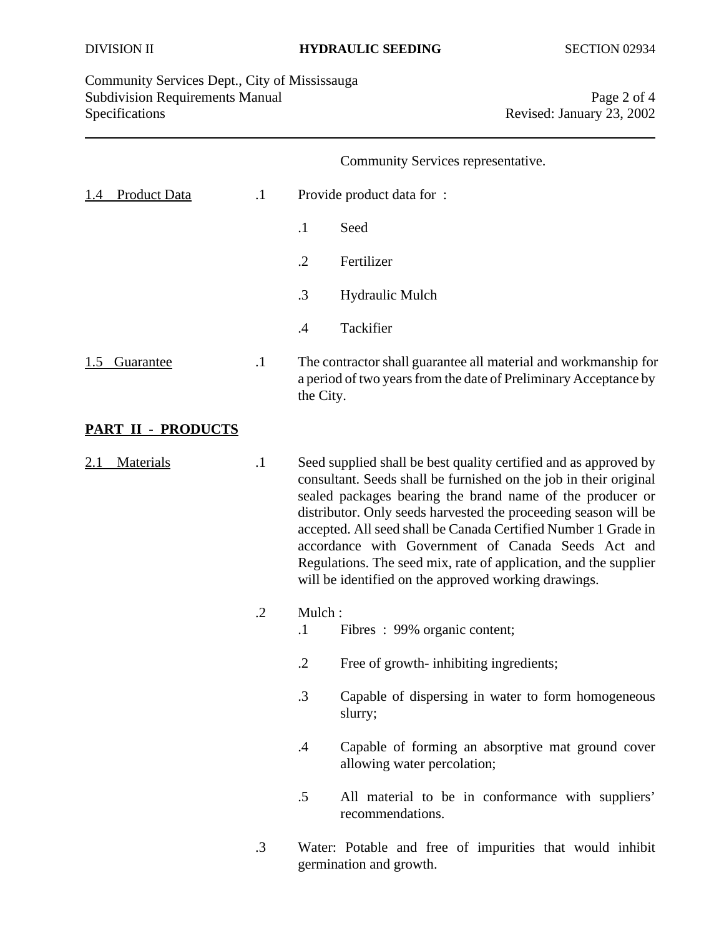Community Services Dept., City of Mississauga Subdivision Requirements Manual Page 2 of 4<br>Specifications Revised: January 23, 2002

Revised: January 23, 2002

## Community Services representative.

| <b>Product Data</b><br>1.4 | $\cdot$ 1  | Provide product data for:                                                                                                                                                                                                                                                                                                                                                                                                                                                                                                 |  |  |
|----------------------------|------------|---------------------------------------------------------------------------------------------------------------------------------------------------------------------------------------------------------------------------------------------------------------------------------------------------------------------------------------------------------------------------------------------------------------------------------------------------------------------------------------------------------------------------|--|--|
|                            |            | $\cdot$<br>Seed                                                                                                                                                                                                                                                                                                                                                                                                                                                                                                           |  |  |
|                            |            | $\cdot$ .2<br>Fertilizer                                                                                                                                                                                                                                                                                                                                                                                                                                                                                                  |  |  |
|                            |            | .3<br>Hydraulic Mulch                                                                                                                                                                                                                                                                                                                                                                                                                                                                                                     |  |  |
|                            |            | Tackifier<br>$\cdot$ 4                                                                                                                                                                                                                                                                                                                                                                                                                                                                                                    |  |  |
| <b>Guarantee</b><br>1.5    | $\cdot$    | The contractor shall guarantee all material and workmanship for<br>a period of two years from the date of Preliminary Acceptance by<br>the City.                                                                                                                                                                                                                                                                                                                                                                          |  |  |
| PART II - PRODUCTS         |            |                                                                                                                                                                                                                                                                                                                                                                                                                                                                                                                           |  |  |
| <b>Materials</b>           | $\cdot$    | Seed supplied shall be best quality certified and as approved by<br>consultant. Seeds shall be furnished on the job in their original<br>sealed packages bearing the brand name of the producer or<br>distributor. Only seeds harvested the proceeding season will be<br>accepted. All seed shall be Canada Certified Number 1 Grade in<br>accordance with Government of Canada Seeds Act and<br>Regulations. The seed mix, rate of application, and the supplier<br>will be identified on the approved working drawings. |  |  |
|                            | $\cdot$ .2 | Mulch:<br>Fibres: 99% organic content;<br>$\cdot$                                                                                                                                                                                                                                                                                                                                                                                                                                                                         |  |  |
|                            |            | $\cdot$ .2<br>Free of growth- inhibiting ingredients;                                                                                                                                                                                                                                                                                                                                                                                                                                                                     |  |  |
|                            |            | $\cdot$ 3<br>Capable of dispersing in water to form homogeneous<br>slurry;                                                                                                                                                                                                                                                                                                                                                                                                                                                |  |  |
|                            |            | Capable of forming an absorptive mat ground cover<br>$\cdot$ 4<br>allowing water percolation;                                                                                                                                                                                                                                                                                                                                                                                                                             |  |  |
|                            |            | .5<br>All material to be in conformance with suppliers'<br>recommendations.                                                                                                                                                                                                                                                                                                                                                                                                                                               |  |  |
|                            | $\cdot$ 3  | Water: Potable and free of impurities that would inhibit<br>germination and growth.                                                                                                                                                                                                                                                                                                                                                                                                                                       |  |  |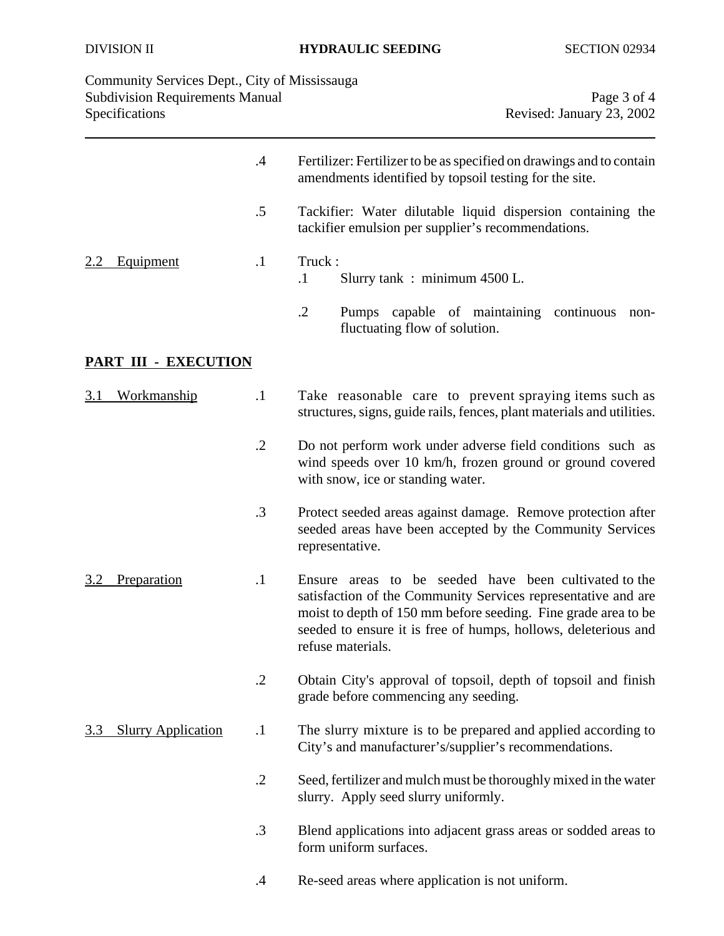| Community Services Dept., City of Mississauga |  |
|-----------------------------------------------|--|
| <b>Subdivision Requirements Manual</b>        |  |
| <b>Specifications</b>                         |  |

Page 3 of 4 Revised: January 23, 2002

|                                         | $\cdot$    | Fertilizer: Fertilizer to be as specified on drawings and to contain<br>amendments identified by topsoil testing for the site.                                                                                                                                                  |
|-----------------------------------------|------------|---------------------------------------------------------------------------------------------------------------------------------------------------------------------------------------------------------------------------------------------------------------------------------|
|                                         | .5         | Tackifier: Water dilutable liquid dispersion containing the<br>tackifier emulsion per supplier's recommendations.                                                                                                                                                               |
| Equipment                               | $\cdot$    | Truck:<br>$\cdot$ 1<br>Slurry tank: minimum 4500 L.                                                                                                                                                                                                                             |
|                                         |            | $\cdot$<br>capable of maintaining continuous<br>Pumps<br>non-<br>fluctuating flow of solution.                                                                                                                                                                                  |
| PART III - EXECUTION                    |            |                                                                                                                                                                                                                                                                                 |
| <u>Workmanship</u><br><u>3.1</u>        | $\cdot$    | Take reasonable care to prevent spraying items such as<br>structures, signs, guide rails, fences, plant materials and utilities.                                                                                                                                                |
|                                         | $\cdot$ .2 | Do not perform work under adverse field conditions such as<br>wind speeds over 10 km/h, frozen ground or ground covered<br>with snow, ice or standing water.                                                                                                                    |
|                                         | .3         | Protect seeded areas against damage. Remove protection after<br>seeded areas have been accepted by the Community Services<br>representative.                                                                                                                                    |
| <b>Preparation</b><br>3.2               | $\cdot$    | Ensure areas to be seeded have been cultivated to the<br>satisfaction of the Community Services representative and are<br>moist to depth of 150 mm before seeding. Fine grade area to be<br>seeded to ensure it is free of humps, hollows, deleterious and<br>refuse materials. |
|                                         | $\cdot$    | Obtain City's approval of topsoil, depth of topsoil and finish<br>grade before commencing any seeding.                                                                                                                                                                          |
| <b>Slurry Application</b><br><u>3.3</u> | $\cdot$    | The slurry mixture is to be prepared and applied according to<br>City's and manufacturer's/supplier's recommendations.                                                                                                                                                          |
|                                         | $\cdot$ .2 | Seed, fertilizer and mulch must be thoroughly mixed in the water<br>slurry. Apply seed slurry uniformly.                                                                                                                                                                        |
|                                         | .3         | Blend applications into adjacent grass areas or sodded areas to<br>form uniform surfaces.                                                                                                                                                                                       |
|                                         | .4         | Re-seed areas where application is not uniform.                                                                                                                                                                                                                                 |